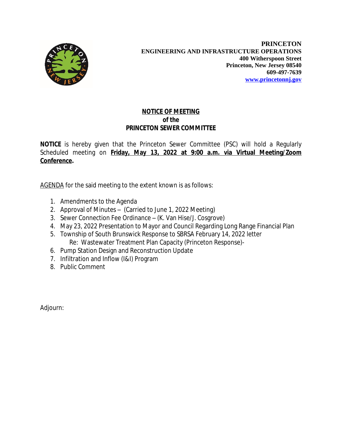

## **NOTICE OF MEETING** *of the* **PRINCETON SEWER COMMITTEE**

**NOTICE** is hereby given that the Princeton Sewer Committee (PSC) will hold a Regularly Scheduled meeting on **Friday, May 13, 2022 at 9:00 a.m. via Virtual Meeting/Zoom Conference.**

AGENDA for the said meeting to the extent known is as follows:

- 1. Amendments to the Agenda
- 2. Approval of Minutes (Carried to June 1, 2022 Meeting)
- 3. Sewer Connection Fee Ordinance (K. Van Hise/J. Cosgrove)
- 4. May 23, 2022 Presentation to Mayor and Council Regarding Long Range Financial Plan
- 5. Township of South Brunswick Response to SBRSA February 14, 2022 letter Re: Wastewater Treatment Plan Capacity (Princeton Response)-
- 6. Pump Station Design and Reconstruction Update
- 7. Infiltration and Inflow (I&I) Program
- 8. Public Comment

Adjourn: